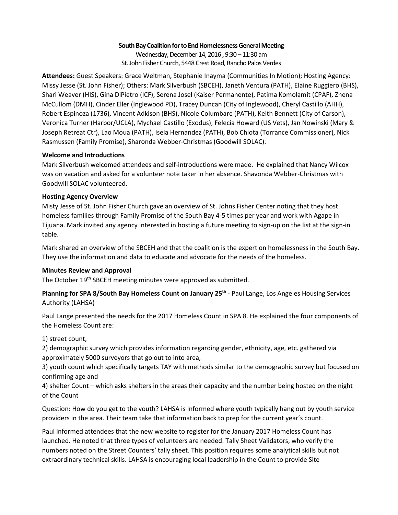## **South Bay Coalition for to End Homelessness General Meeting**

Wednesday, December 14, 2016 , 9:30 – 11:30 am St. John Fisher Church, 5448 Crest Road, Rancho Palos Verdes

**Attendees:** Guest Speakers: Grace Weltman, Stephanie Inayma (Communities In Motion); Hosting Agency: Missy Jesse (St. John Fisher); Others: Mark Silverbush (SBCEH), Janeth Ventura (PATH), Elaine Ruggiero (BHS), Shari Weaver (HIS), Gina DiPietro (ICF), Serena Josel (Kaiser Permanente), Patima Komolamit (CPAF), Zhena McCullom (DMH), Cinder Eller (Inglewood PD), Tracey Duncan (City of Inglewood), Cheryl Castillo (AHH), Robert Espinoza (1736), Vincent Adkison (BHS), Nicole Columbare (PATH), Keith Bennett (City of Carson), Veronica Turner (Harbor/UCLA), Mychael Castillo (Exodus), Felecia Howard (US Vets), Jan Nowinski (Mary & Joseph Retreat Ctr), Lao Moua (PATH), Isela Hernandez (PATH), Bob Chiota (Torrance Commissioner), Nick Rasmussen (Family Promise), Sharonda Webber-Christmas (Goodwill SOLAC).

# **Welcome and Introductions**

Mark Silverbush welcomed attendees and self-introductions were made. He explained that Nancy Wilcox was on vacation and asked for a volunteer note taker in her absence. Shavonda Webber-Christmas with Goodwill SOLAC volunteered.

## **Hosting Agency Overview**

Misty Jesse of St. John Fisher Church gave an overview of St. Johns Fisher Center noting that they host homeless families through Family Promise of the South Bay 4-5 times per year and work with Agape in Tijuana. Mark invited any agency interested in hosting a future meeting to sign-up on the list at the sign-in table.

Mark shared an overview of the SBCEH and that the coalition is the expert on homelessness in the South Bay. They use the information and data to educate and advocate for the needs of the homeless.

# **Minutes Review and Approval**

The October 19<sup>th</sup> SBCEH meeting minutes were approved as submitted.

**Planning for SPA 8/South Bay Homeless Count on January 25th** - Paul Lange, Los Angeles Housing Services Authority (LAHSA)

Paul Lange presented the needs for the 2017 Homeless Count in SPA 8. He explained the four components of the Homeless Count are:

1) street count,

2) demographic survey which provides information regarding gender, ethnicity, age, etc. gathered via approximately 5000 surveyors that go out to into area,

3) youth count which specifically targets TAY with methods similar to the demographic survey but focused on confirming age and

4) shelter Count – which asks shelters in the areas their capacity and the number being hosted on the night of the Count

Question: How do you get to the youth? LAHSA is informed where youth typically hang out by youth service providers in the area. Their team take that information back to prep for the current year's count.

Paul informed attendees that the new website to register for the January 2017 Homeless Count has launched. He noted that three types of volunteers are needed. Tally Sheet Validators, who verify the numbers noted on the Street Counters' tally sheet. This position requires some analytical skills but not extraordinary technical skills. LAHSA is encouraging local leadership in the Count to provide Site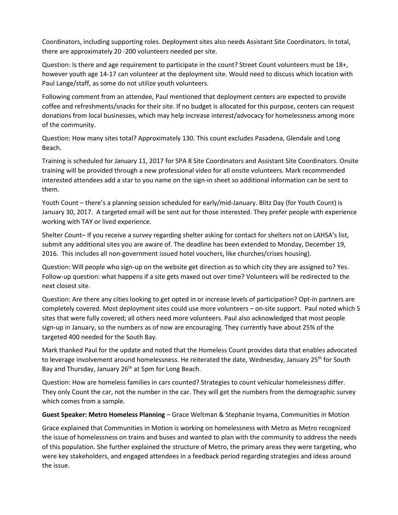Coordinators, including supporting roles. Deployment sites also needs Assistant Site Coordinators. In total, there are approximately 20 -200 volunteers needed per site.

Question: Is there and age requirement to participate in the count? Street Count volunteers must be 18+, however youth age 14-17 can volunteer at the deployment site. Would need to discuss which location with Paul Lange/staff, as some do not utilize youth volunteers.

Following comment from an attendee, Paul mentioned that deployment centers are expected to provide coffee and refreshments/snacks for their site. If no budget is allocated for this purpose, centers can request donations from local businesses, which may help increase interest/advocacy for homelessness among more of the community.

Question: How many sites total? Approximately 130. This count excludes Pasadena, Glendale and Long Beach.

Training is scheduled for January 11, 2017 for SPA 8 Site Coordinators and Assistant Site Coordinators. Onsite training will be provided through a new professional video for all onsite volunteers. Mark recommended interested attendees add a star to you name on the sign-in sheet so additional information can be sent to them.

Youth Count – there's a planning session scheduled for early/mid-January. Blitz Day (for Youth Count) is January 30, 2017. A targeted email will be sent out for those interested. They prefer people with experience working with TAY or lived experience.

Shelter Count– If you receive a survey regarding shelter asking for contact for shelters not on LAHSA's list, submit any additional sites you are aware of. The deadline has been extended to Monday, December 19, 2016. This includes all non-government issued hotel vouchers, like churches/crises housing).

Question: Will people who sign-up on the website get direction as to which city they are assigned to? Yes. Follow-up question: what happens if a site gets maxed out over time? Volunteers will be redirected to the next closest site.

Question: Are there any cities looking to get opted in or increase levels of participation? Opt-in partners are completely covered. Most deployment sites could use more volunteers – on-site support. Paul noted which 5 sites that were fully covered; all others need more volunteers. Paul also acknowledged that most people sign-up in January, so the numbers as of now are encouraging. They currently have about 25% of the targeted 400 needed for the South Bay.

Mark thanked Paul for the update and noted that the Homeless Count provides data that enables advocated to leverage involvement around homelessness. He reiterated the date, Wednesday, January 25<sup>th</sup> for South Bay and Thursday, January 26<sup>th</sup> at 5pm for Long Beach.

Question: How are homeless families in cars counted? Strategies to count vehicular homelessness differ. They only Count the car, not the number in the car. They will get the numbers from the demographic survey which comes from a sample.

**Guest Speaker: Metro Homeless Planning** – Grace Weltman & Stephanie Inyama, Communities in Motion

Grace explained that Communities in Motion is working on homelessness with Metro as Metro recognized the issue of homelessness on trains and buses and wanted to plan with the community to address the needs of this population. She further explained the structure of Metro, the primary areas they were targeting, who were key stakeholders, and engaged attendees in a feedback period regarding strategies and ideas around the issue.